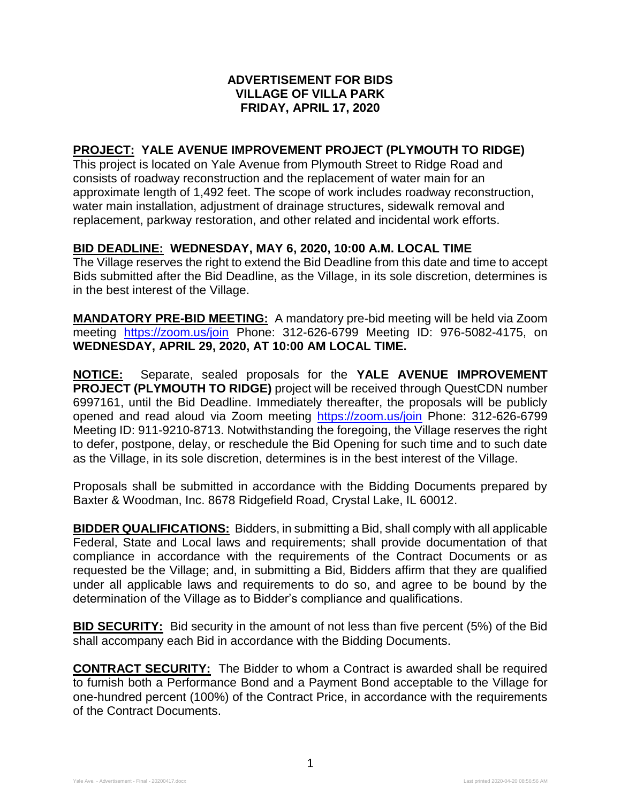## **ADVERTISEMENT FOR BIDS VILLAGE OF VILLA PARK FRIDAY, APRIL 17, 2020**

## **PROJECT: YALE AVENUE IMPROVEMENT PROJECT (PLYMOUTH TO RIDGE)**

This project is located on Yale Avenue from Plymouth Street to Ridge Road and consists of roadway reconstruction and the replacement of water main for an approximate length of 1,492 feet. The scope of work includes roadway reconstruction, water main installation, adjustment of drainage structures, sidewalk removal and replacement, parkway restoration, and other related and incidental work efforts.

## **BID DEADLINE: WEDNESDAY, MAY 6, 2020, 10:00 A.M. LOCAL TIME**

The Village reserves the right to extend the Bid Deadline from this date and time to accept Bids submitted after the Bid Deadline, as the Village, in its sole discretion, determines is in the best interest of the Village.

**MANDATORY PRE-BID MEETING:** A mandatory pre-bid meeting will be held via Zoom meeting <https://zoom.us/join> Phone: 312-626-6799 Meeting ID: 976-5082-4175, on **WEDNESDAY, APRIL 29, 2020, AT 10:00 AM LOCAL TIME.**

**NOTICE:** Separate, sealed proposals for the **YALE AVENUE IMPROVEMENT PROJECT (PLYMOUTH TO RIDGE)** project will be received through QuestCDN number 6997161, until the Bid Deadline. Immediately thereafter, the proposals will be publicly opened and read aloud via Zoom meeting <https://zoom.us/join> Phone: 312-626-6799 Meeting ID: 911-9210-8713. Notwithstanding the foregoing, the Village reserves the right to defer, postpone, delay, or reschedule the Bid Opening for such time and to such date as the Village, in its sole discretion, determines is in the best interest of the Village.

Proposals shall be submitted in accordance with the Bidding Documents prepared by Baxter & Woodman, Inc. 8678 Ridgefield Road, Crystal Lake, IL 60012.

**BIDDER QUALIFICATIONS:** Bidders, in submitting a Bid, shall comply with all applicable Federal, State and Local laws and requirements; shall provide documentation of that compliance in accordance with the requirements of the Contract Documents or as requested be the Village; and, in submitting a Bid, Bidders affirm that they are qualified under all applicable laws and requirements to do so, and agree to be bound by the determination of the Village as to Bidder's compliance and qualifications.

**BID SECURITY:** Bid security in the amount of not less than five percent (5%) of the Bid shall accompany each Bid in accordance with the Bidding Documents.

**CONTRACT SECURITY:** The Bidder to whom a Contract is awarded shall be required to furnish both a Performance Bond and a Payment Bond acceptable to the Village for one-hundred percent (100%) of the Contract Price, in accordance with the requirements of the Contract Documents.